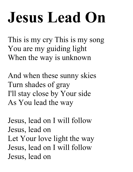# Jesus Lead On

This is my cry This is my song You are my guiding light When the way is unknown

And when these sunny skies Turn shades of gray I'll stay close by Your side As You lead the way

Jesus, lead on I will follow Jesus, lead on Let Your love light the way Jesus, lead on I will follow Jesus, lead on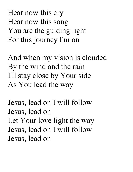Hear now this cry Hear now this song You are the guiding light For this journey I'm on

And when my vision is clouded By the wind and the rain I'll stay close by Your side As You lead the way

Jesus, lead on I will follow Jesus, lead on Let Your love light the way Jesus, lead on I will follow Jesus, lead on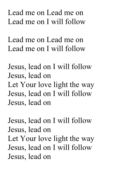Lead me on Lead me on Lead me on I will follow

Lead me on Lead me on Lead me on I will follow

Jesus, lead on I will follow Jesus, lead on Let Your love light the way Jesus, lead on I will follow Jesus, lead on

Jesus, lead on I will follow Jesus, lead on Let Your love light the way Jesus, lead on I will follow Jesus, lead on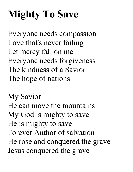## Mighty To Save

Everyone needs compassion Love that's never failing Let mercy fall on me Everyone needs forgiveness The kindness of a Savior The hope of nations

My Savior He can move the mountains My God is mighty to save He is mighty to save Forever Author of salvation He rose and conquered the grave Jesus conquered the grave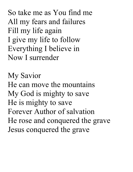So take me as You find me All my fears and failures Fill my life again I give my life to follow Everything I believe in Now I surrender

My Savior He can move the mountains My God is mighty to save He is mighty to save Forever Author of salvation He rose and conquered the grave Jesus conquered the grave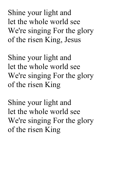Shine your light and let the whole world see We're singing For the glory of the risen King, Jesus

Shine your light and let the whole world see We're singing For the glory of the risen King

Shine your light and let the whole world see We're singing For the glory of the risen King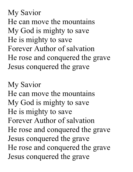My Savior He can move the mountains My God is mighty to save He is mighty to save Forever Author of salvation He rose and conquered the grave Jesus conquered the grave

My Savior He can move the mountains My God is mighty to save He is mighty to save Forever Author of salvation He rose and conquered the grave Jesus conquered the grave He rose and conquered the grave Jesus conquered the grave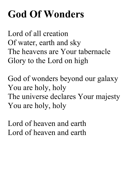## God Of Wonders

Lord of all creation Of water, earth and sky The heavens are Your tabernacle Glory to the Lord on high

God of wonders beyond our galaxy You are holy, holy The universe declares Your majesty You are holy, holy

Lord of heaven and earth Lord of heaven and earth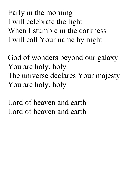Early in the morning I will celebrate the light When I stumble in the darkness I will call Your name by night

God of wonders beyond our galaxy You are holy, holy The universe declares Your majesty You are holy, holy

Lord of heaven and earth Lord of heaven and earth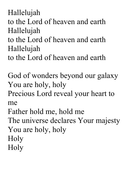Hallelujah to the Lord of heaven and earth Hallelujah to the Lord of heaven and earth Hallelujah to the Lord of heaven and earth

God of wonders beyond our galaxy You are holy, holy Precious Lord reveal your heart to me Father hold me, hold me The universe declares Your majesty You are holy, holy Holy Holy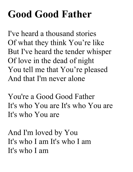### Good Good Father

I've heard a thousand stories Of what they think You're like But I've heard the tender whisper Of love in the dead of night You tell me that You're pleased And that I'm never alone

You're a Good Good Father It's who You are It's who You are It's who You are

And I'm loved by You It's who I am It's who I am It's who I am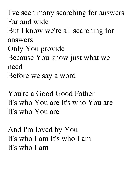I've seen many searching for answers Far and wide But I know we're all searching for answers Only You provide Because You know just what we need Before we say a word

You're a Good Good Father It's who You are It's who You are It's who You are

And I'm loved by You It's who I am It's who I am It's who I am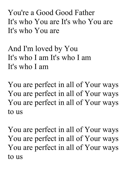You're a Good Good Father It's who You are It's who You are It's who You are

And I'm loved by You It's who I am It's who I am It's who I am

You are perfect in all of Your ways You are perfect in all of Your ways You are perfect in all of Your ways to us

You are perfect in all of Your ways You are perfect in all of Your ways You are perfect in all of Your ways to us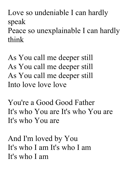Love so undeniable I can hardly speak

Peace so unexplainable I can hardly think

As You call me deeper still As You call me deeper still As You call me deeper still Into love love love

You're a Good Good Father It's who You are It's who You are It's who You are

And I'm loved by You It's who I am It's who I am It's who I am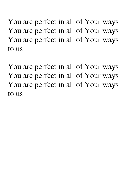You are perfect in all of Your ways You are perfect in all of Your ways You are perfect in all of Your ways to us

You are perfect in all of Your ways You are perfect in all of Your ways You are perfect in all of Your ways to us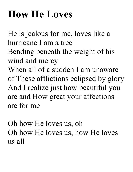### How He Loves

He is jealous for me, loves like a hurricane I am a tree Bending beneath the weight of his wind and mercy When all of a sudden I am unaware of These afflictions eclipsed by glory And I realize just how beautiful you are and How great your affections are for me

Oh how He loves us, oh Oh how He loves us, how He loves us all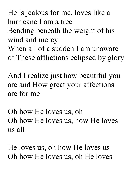He is jealous for me, loves like a hurricane I am a tree Bending beneath the weight of his wind and mercy When all of a sudden I am unaware of These afflictions eclipsed by glory

And I realize just how beautiful you are and How great your affections are for me

Oh how He loves us, oh Oh how He loves us, how He loves us all

He loves us, oh how He loves us Oh how He loves us, oh He loves